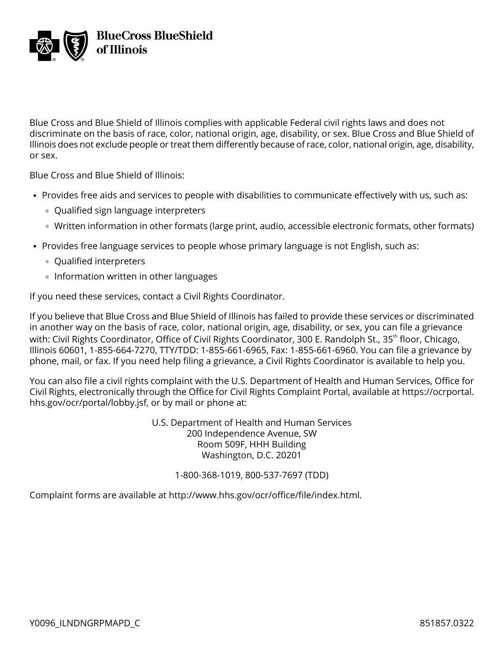

Blue Cross and Blue Shield of Illinois complies with applicable Federal civil rights laws and does not discriminate on the basis of race, color, national origin, age, disability, or sex. Blue Cross and Blue Shield of Illinois does not exclude people or treat them differently because of race, color, national origin, age, disability, or sex.

Blue Cross and Blue Shield of Illinois:

- Provides free aids and services to people with disabilities to communicate effectively with us, such as:
	- Qualified sign language interpreters
	- Written information in other formats (large print, audio, accessible electronic formats, other formats)
- Provides free language services to people whose primary language is not English, such as:
	- Qualified interpreters
	- **Information written in other languages**

If you need these services, contact a Civil Rights Coordinator.

If you believe that Blue Cross and Blue Shield of Illinois has failed to provide these services or discriminated in another way on the basis of race, color, national origin, age, disability, or sex, you can file a grievance with: Civil Rights Coordinator, Office of Civil Rights Coordinator, 300 E. Randolph St., 35<sup>th</sup> floor, Chicago, Illinois 60601, 1-855-664-7270, TTY/TDD: 1-855-661-6965, Fax: 1-855-661-6960. You can file a grievance by phone, mail, or fax. If you need help filing a grievance, a Civil Rights Coordinator is available to help you.

You can also file a civil rights complaint with the U.S. Department of Health and Human Services, Office for Civil Rights, electronically through the Office for Civil Rights Complaint Portal, available at [https://ocrportal.](https://ocrportal.hhs.gov/ocr/portal/lobby.jsf) [hhs.gov/ocr/portal/lobby.jsf](https://ocrportal.hhs.gov/ocr/portal/lobby.jsf), or by mail or phone at:

> U.S. Department of Health and Human Services 200 Independence Avenue, SW Room 509F, HHH Building Washington, D.C. 20201

> > 1-800-368-1019, 800-537-7697 (TDD)

Complaint forms are available at [http://www.hhs.gov/ocr/office/file/index.html.](http://www.hhs.gov/ocr/office/file/index.html)